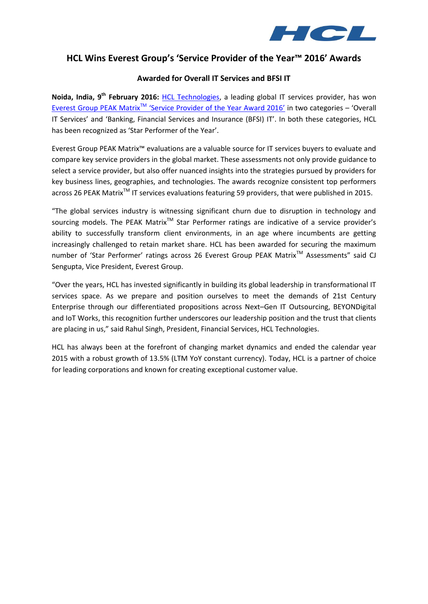

# **HCL Wins Everest Group's 'Service Provider of the Year™ 2016' Awards**

## **Awarded for Overall IT Services and BFSI IT**

**Noida, India, 9th February 2016:** [HCL Technologies,](http://www.hcltech.com/) a leading global IT services provider, has won Everest Group PEAK Matrix<sup>™</sup> ['Service Provider of the Year Award 2016'](http://www1.everestgrp.com/Ser-Prov-Yr-Awards-2016.html) in two categories – 'Overall IT Services' and 'Banking, Financial Services and Insurance (BFSI) IT'. In both these categories, HCL has been recognized as 'Star Performer of the Year'.

Everest Group PEAK Matrix™ evaluations are a valuable source for IT services buyers to evaluate and compare key service providers in the global market. These assessments not only provide guidance to select a service provider, but also offer nuanced insights into the strategies pursued by providers for key business lines, geographies, and technologies. The awards recognize consistent top performers across 26 PEAK Matrix<sup>™</sup> IT services evaluations featuring 59 providers, that were published in 2015.

"The global services industry is witnessing significant churn due to disruption in technology and sourcing models. The PEAK Matrix<sup>™</sup> Star Performer ratings are indicative of a service provider's ability to successfully transform client environments, in an age where incumbents are getting increasingly challenged to retain market share. HCL has been awarded for securing the maximum number of 'Star Performer' ratings across 26 Everest Group PEAK Matrix™ Assessments" said CJ Sengupta, Vice President, Everest Group.

"Over the years, HCL has invested significantly in building its global leadership in transformational IT services space. As we prepare and position ourselves to meet the demands of 21st Century Enterprise through our differentiated propositions across Next–Gen IT Outsourcing, BEYONDigital and IoT Works, this recognition further underscores our leadership position and the trust that clients are placing in us," said Rahul Singh, President, Financial Services, HCL Technologies.

HCL has always been at the forefront of changing market dynamics and ended the calendar year 2015 with a robust growth of 13.5% (LTM YoY constant currency). Today, HCL is a partner of choice for leading corporations and known for creating exceptional customer value.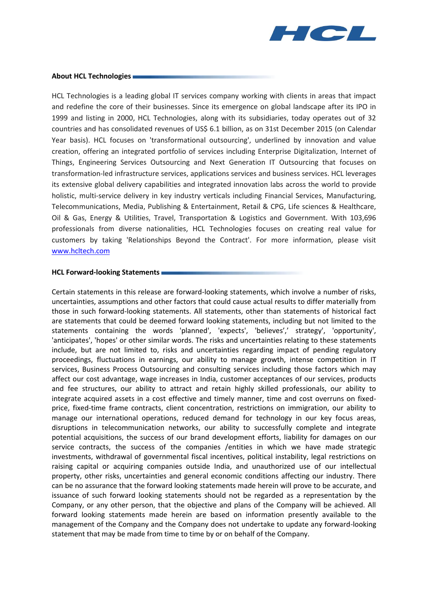

#### **About HCL Technologies**

HCL Technologies is a leading global IT services company working with clients in areas that impact and redefine the core of their businesses. Since its emergence on global landscape after its IPO in 1999 and listing in 2000, HCL Technologies, along with its subsidiaries, today operates out of 32 countries and has consolidated revenues of US\$ 6.1 billion, as on 31st December 2015 (on Calendar Year basis). HCL focuses on 'transformational outsourcing', underlined by innovation and value creation, offering an integrated portfolio of services including Enterprise Digitalization, Internet of Things, Engineering Services Outsourcing and Next Generation IT Outsourcing that focuses on transformation-led infrastructure services, applications services and business services. HCL leverages its extensive global delivery capabilities and integrated innovation labs across the world to provide holistic, multi-service delivery in key industry verticals including Financial Services, Manufacturing, Telecommunications, Media, Publishing & Entertainment, Retail & CPG, Life sciences & Healthcare, Oil & Gas, Energy & Utilities, Travel, Transportation & Logistics and Government. With 103,696 professionals from diverse nationalities, HCL Technologies focuses on creating real value for customers by taking 'Relationships Beyond the Contract'. For more information, please visit [www.hcltech.com](http://www.hcltech.com/)

#### **HCL Forward-looking Statements**

Certain statements in this release are forward-looking statements, which involve a number of risks, uncertainties, assumptions and other factors that could cause actual results to differ materially from those in such forward-looking statements. All statements, other than statements of historical fact are statements that could be deemed forward looking statements, including but not limited to the statements containing the words 'planned', 'expects', 'believes',' strategy', 'opportunity', 'anticipates', 'hopes' or other similar words. The risks and uncertainties relating to these statements include, but are not limited to, risks and uncertainties regarding impact of pending regulatory proceedings, fluctuations in earnings, our ability to manage growth, intense competition in IT services, Business Process Outsourcing and consulting services including those factors which may affect our cost advantage, wage increases in India, customer acceptances of our services, products and fee structures, our ability to attract and retain highly skilled professionals, our ability to integrate acquired assets in a cost effective and timely manner, time and cost overruns on fixedprice, fixed-time frame contracts, client concentration, restrictions on immigration, our ability to manage our international operations, reduced demand for technology in our key focus areas, disruptions in telecommunication networks, our ability to successfully complete and integrate potential acquisitions, the success of our brand development efforts, liability for damages on our service contracts, the success of the companies /entities in which we have made strategic investments, withdrawal of governmental fiscal incentives, political instability, legal restrictions on raising capital or acquiring companies outside India, and unauthorized use of our intellectual property, other risks, uncertainties and general economic conditions affecting our industry. There can be no assurance that the forward looking statements made herein will prove to be accurate, and issuance of such forward looking statements should not be regarded as a representation by the Company, or any other person, that the objective and plans of the Company will be achieved. All forward looking statements made herein are based on information presently available to the management of the Company and the Company does not undertake to update any forward-looking statement that may be made from time to time by or on behalf of the Company.